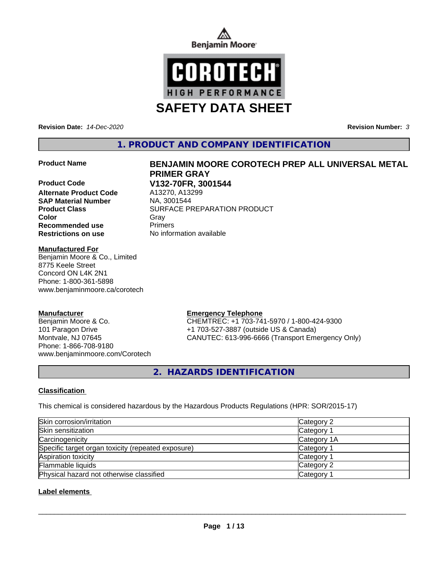



**Revision Date:** *14-Dec-2020* **Revision Number:** *3*

**1. PRODUCT AND COMPANY IDENTIFICATION**

### **Product Name BENJAMIN MOORE COROTECH PREP ALL UNIVERSAL METAL**

**Product Code V132-70FR, 3001544 Alternate Product Code SAP Material Number** NA, 3001544 **Product Class SURFACE PREPARATION PRODUCT Color** Gray Gray **Recommended use Primers Restrictions on use** No information available

## **Manufactured For**

Benjamin Moore & Co., Limited 8775 Keele Street Concord ON L4K 2N1 Phone: 1-800-361-5898 www.benjaminmoore.ca/corotech

## **Manufacturer**

Benjamin Moore & Co. 101 Paragon Drive Montvale, NJ 07645 Phone: 1-866-708-9180 www.benjaminmoore.com/Corotech

**PRIMER GRAY**

#### **Emergency Telephone**

CHEMTREC: +1 703-741-5970 / 1-800-424-9300 +1 703-527-3887 (outside US & Canada) CANUTEC: 613-996-6666 (Transport Emergency Only)

**2. HAZARDS IDENTIFICATION**

## **Classification**

This chemical is considered hazardous by the Hazardous Products Regulations (HPR: SOR/2015-17)

| Skin corrosion/irritation                          | Category 2            |
|----------------------------------------------------|-----------------------|
| Skin sensitization                                 | Category 1            |
| Carcinogenicity                                    | Category 1A           |
| Specific target organ toxicity (repeated exposure) | Category 1            |
| Aspiration toxicity                                | Category 1            |
| Flammable liquids                                  | Category 2            |
| Physical hazard not otherwise classified           | Category <sup>2</sup> |

## **Label elements**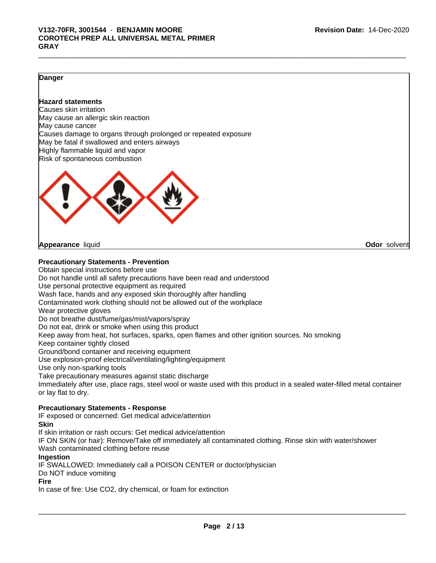## **Danger**

## **Hazard statements**

Causes skin irritation May cause an allergic skin reaction May cause cancer Causes damage to organs through prolonged or repeated exposure May be fatal if swallowed and enters airways Highly flammable liquid and vapor Risk of spontaneous combustion



**Appearance** liquid **Odor** solvent

## **Precautionary Statements - Prevention**

Obtain special instructions before use Do not handle until all safety precautions have been read and understood Use personal protective equipment as required Wash face, hands and any exposed skin thoroughly after handling Contaminated work clothing should not be allowed out of the workplace Wear protective gloves Do not breathe dust/fume/gas/mist/vapors/spray Do not eat, drink or smoke when using this product Keep away from heat, hot surfaces, sparks, open flames and other ignition sources. No smoking Keep container tightly closed Ground/bond container and receiving equipment Use explosion-proof electrical/ventilating/lighting/equipment Use only non-sparking tools Take precautionary measures against static discharge Immediately after use, place rags, steel wool or waste used with this product in a sealed water-filled metal container or lay flat to dry. **Precautionary Statements - Response**

IF exposed or concerned: Get medical advice/attention

## **Skin**

If skin irritation or rash occurs: Get medical advice/attention IF ON SKIN (or hair): Remove/Take off immediately all contaminated clothing. Rinse skin with water/shower Wash contaminated clothing before reuse **Ingestion** IF SWALLOWED: Immediately call a POISON CENTER or doctor/physician Do NOT induce vomiting

### **Fire**

In case of fire: Use CO2, dry chemical, or foam for extinction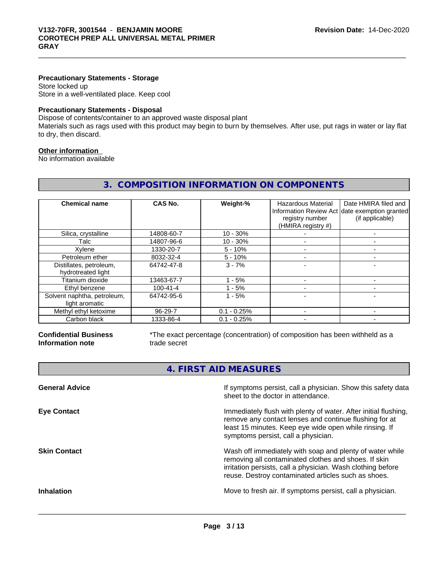## **Precautionary Statements - Storage**

Store locked up Store in a well-ventilated place. Keep cool

## **Precautionary Statements - Disposal**

Dispose of contents/container to an approved waste disposal plant

Materials such as rags used with this product may begin to burn by themselves. After use, put rags in water or lay flat to dry, then discard.

**3. COMPOSITION INFORMATION ON COMPONENTS**

## **Other information**

No information available

| <b>Chemical name</b>        | CAS No.        | Weight-%      | Hazardous Material | Date HMIRA filed and                          |
|-----------------------------|----------------|---------------|--------------------|-----------------------------------------------|
|                             |                |               |                    | Information Review Act date exemption granted |
|                             |                |               | registry number    | (if applicable)                               |
|                             |                |               | (HMIRA registry #) |                                               |
| Silica, crystalline         | 14808-60-7     | $10 - 30%$    |                    |                                               |
| Talc                        | 14807-96-6     | $10 - 30%$    |                    |                                               |
| Xylene                      | 1330-20-7      | $5 - 10%$     |                    |                                               |
| Petroleum ether             | 8032-32-4      | $5 - 10%$     |                    |                                               |
| Distillates, petroleum,     | 64742-47-8     | $3 - 7%$      |                    |                                               |
| hydrotreated light          |                |               |                    |                                               |
| Titanium dioxide            | 13463-67-7     | - 5%          |                    |                                               |
| Ethyl benzene               | $100 - 41 - 4$ | - 5%          |                    |                                               |
| Solvent naphtha, petroleum, | 64742-95-6     | $1 - 5%$      |                    |                                               |
| light aromatic              |                |               |                    |                                               |
| Methyl ethyl ketoxime       | 96-29-7        | $0.1 - 0.25%$ |                    |                                               |
| Carbon black                | 1333-86-4      | $0.1 - 0.25%$ |                    |                                               |

**Confidential Business Information note**

\*The exact percentage (concentration) of composition has been withheld as a trade secret

**4. FIRST AID MEASURES**

| <b>General Advice</b> | If symptoms persist, call a physician. Show this safety data<br>sheet to the doctor in attendance.                                                                                                                                     |
|-----------------------|----------------------------------------------------------------------------------------------------------------------------------------------------------------------------------------------------------------------------------------|
| <b>Eye Contact</b>    | Immediately flush with plenty of water. After initial flushing,<br>remove any contact lenses and continue flushing for at<br>least 15 minutes. Keep eye wide open while rinsing. If<br>symptoms persist, call a physician.             |
| <b>Skin Contact</b>   | Wash off immediately with soap and plenty of water while<br>removing all contaminated clothes and shoes. If skin<br>irritation persists, call a physician. Wash clothing before<br>reuse. Destroy contaminated articles such as shoes. |
| <b>Inhalation</b>     | Move to fresh air. If symptoms persist, call a physician.                                                                                                                                                                              |
|                       |                                                                                                                                                                                                                                        |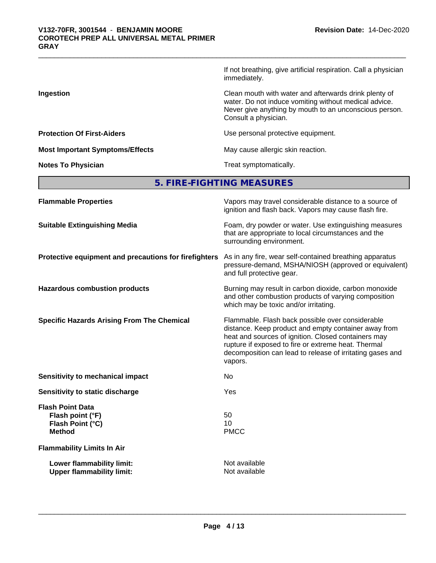|                                        | If not breathing, give artificial respiration. Call a physician<br>immediately.                                                                                                                  |
|----------------------------------------|--------------------------------------------------------------------------------------------------------------------------------------------------------------------------------------------------|
| Ingestion                              | Clean mouth with water and afterwards drink plenty of<br>water. Do not induce vomiting without medical advice.<br>Never give anything by mouth to an unconscious person.<br>Consult a physician. |
| <b>Protection Of First-Aiders</b>      | Use personal protective equipment.                                                                                                                                                               |
| <b>Most Important Symptoms/Effects</b> | May cause allergic skin reaction.                                                                                                                                                                |
| <b>Notes To Physician</b>              | Treat symptomatically.                                                                                                                                                                           |

**5. FIRE-FIGHTING MEASURES**

| <b>Flammable Properties</b>                                                      | Vapors may travel considerable distance to a source of<br>ignition and flash back. Vapors may cause flash fire.                                                                                                                                                                                |
|----------------------------------------------------------------------------------|------------------------------------------------------------------------------------------------------------------------------------------------------------------------------------------------------------------------------------------------------------------------------------------------|
| <b>Suitable Extinguishing Media</b>                                              | Foam, dry powder or water. Use extinguishing measures<br>that are appropriate to local circumstances and the<br>surrounding environment.                                                                                                                                                       |
| Protective equipment and precautions for firefighters                            | As in any fire, wear self-contained breathing apparatus<br>pressure-demand, MSHA/NIOSH (approved or equivalent)<br>and full protective gear.                                                                                                                                                   |
| <b>Hazardous combustion products</b>                                             | Burning may result in carbon dioxide, carbon monoxide<br>and other combustion products of varying composition<br>which may be toxic and/or irritating.                                                                                                                                         |
| <b>Specific Hazards Arising From The Chemical</b>                                | Flammable. Flash back possible over considerable<br>distance. Keep product and empty container away from<br>heat and sources of ignition. Closed containers may<br>rupture if exposed to fire or extreme heat. Thermal<br>decomposition can lead to release of irritating gases and<br>vapors. |
| Sensitivity to mechanical impact                                                 | No                                                                                                                                                                                                                                                                                             |
| Sensitivity to static discharge                                                  | Yes                                                                                                                                                                                                                                                                                            |
| <b>Flash Point Data</b><br>Flash point (°F)<br>Flash Point (°C)<br><b>Method</b> | 50<br>10<br><b>PMCC</b>                                                                                                                                                                                                                                                                        |
| <b>Flammability Limits In Air</b>                                                |                                                                                                                                                                                                                                                                                                |
| Lower flammability limit:<br><b>Upper flammability limit:</b>                    | Not available<br>Not available                                                                                                                                                                                                                                                                 |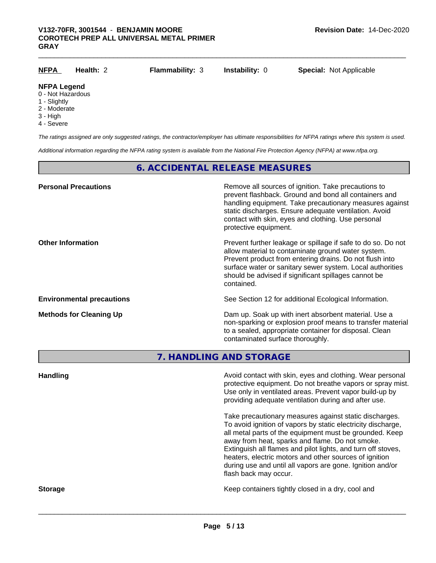| <u>NFPA</u>                                             | Health: 2 | <b>Flammability: 3</b> | <b>Instability: 0</b> | <b>Special: Not Applicable</b> |
|---------------------------------------------------------|-----------|------------------------|-----------------------|--------------------------------|
| <b>NFPA Legend</b><br>0 - Not Hazardous<br>1 - Slightly |           |                        |                       |                                |
| 2 - Moderate                                            |           |                        |                       |                                |

- 3 High
	-
	- 4 Severe

*The ratings assigned are only suggested ratings, the contractor/employer has ultimate responsibilities for NFPA ratings where this system is used.*

*Additional information regarding the NFPA rating system is available from the National Fire Protection Agency (NFPA) at www.nfpa.org.*

## **6. ACCIDENTAL RELEASE MEASURES**

| <b>Personal Precautions</b>      | Remove all sources of ignition. Take precautions to<br>prevent flashback. Ground and bond all containers and<br>handling equipment. Take precautionary measures against<br>static discharges. Ensure adequate ventilation. Avoid<br>contact with skin, eyes and clothing. Use personal<br>protective equipment.  |
|----------------------------------|------------------------------------------------------------------------------------------------------------------------------------------------------------------------------------------------------------------------------------------------------------------------------------------------------------------|
| <b>Other Information</b>         | Prevent further leakage or spillage if safe to do so. Do not<br>allow material to contaminate ground water system.<br>Prevent product from entering drains. Do not flush into<br>surface water or sanitary sewer system. Local authorities<br>should be advised if significant spillages cannot be<br>contained. |
| <b>Environmental precautions</b> | See Section 12 for additional Ecological Information.                                                                                                                                                                                                                                                            |
| <b>Methods for Cleaning Up</b>   | Dam up. Soak up with inert absorbent material. Use a<br>non-sparking or explosion proof means to transfer material<br>to a sealed, appropriate container for disposal. Clean<br>contaminated surface thoroughly.                                                                                                 |

**7. HANDLING AND STORAGE**

**Handling Handling Avoid contact with skin, eyes and clothing. Wear personal and <b>Handling Avoid contact with skin, eyes and clothing. Wear personal** protective equipment. Do not breathe vapors or spray mist. Use only in ventilated areas. Prevent vapor build-up by providing adequate ventilation during and after use. Take precautionary measures against static discharges. To avoid ignition of vapors by static electricity discharge, all metal parts of the equipment must be grounded. Keep away from heat, sparks and flame. Do not smoke. Extinguish all flames and pilot lights, and turn off stoves, heaters, electric motors and other sources of ignition during use and until all vapors are gone. Ignition and/or flash back may occur. **Storage Keep containers tightly closed in a dry, cool and get a dry and structure in a dry and structure in a dry and structure in a dry and structure in a dry and structure in a dry and structure in a dry and structure**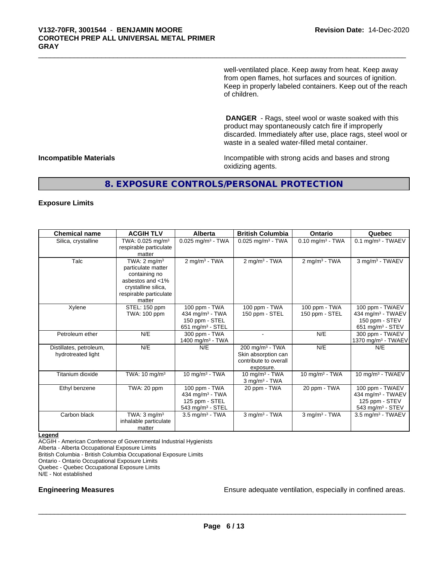well-ventilated place. Keep away from heat. Keep away from open flames, hot surfaces and sources of ignition. Keep in properly labeled containers. Keep out of the reach of children.

 **DANGER** - Rags, steel wool or waste soaked with this product may spontaneously catch fire if improperly discarded. Immediately after use, place rags, steel wool or waste in a sealed water-filled metal container.

**Incompatible Materials Incompatible with strong acids and bases and strong** oxidizing agents.

## **8. EXPOSURE CONTROLS/PERSONAL PROTECTION**

### **Exposure Limits**

| <b>Chemical name</b>                          | <b>ACGIH TLV</b>                                                                                                                              | Alberta                                                                               | <b>British Columbia</b>                                                         | <b>Ontario</b>                  | Quebec                                                                                             |
|-----------------------------------------------|-----------------------------------------------------------------------------------------------------------------------------------------------|---------------------------------------------------------------------------------------|---------------------------------------------------------------------------------|---------------------------------|----------------------------------------------------------------------------------------------------|
| Silica, crystalline                           | TWA: 0.025 mg/m <sup>3</sup><br>respirable particulate<br>matter                                                                              | $0.025$ mg/m <sup>3</sup> - TWA                                                       | $0.025$ mg/m <sup>3</sup> - TWA                                                 | $0.10$ mg/m <sup>3</sup> - TWA  | $0.1$ mg/m <sup>3</sup> - TWAEV                                                                    |
| Talc                                          | TWA: $2 \text{ mq/m}^3$<br>particulate matter<br>containing no<br>asbestos and <1%<br>crystalline silica,<br>respirable particulate<br>matter | $2$ mg/m <sup>3</sup> - TWA                                                           | $2$ mg/m <sup>3</sup> - TWA                                                     | $2$ mg/m <sup>3</sup> - TWA     | 3 mg/m <sup>3</sup> - TWAEV                                                                        |
| Xylene                                        | STEL: 150 ppm<br>TWA: 100 ppm                                                                                                                 | 100 ppm - TWA<br>434 mg/m <sup>3</sup> - TWA<br>150 ppm - STEL<br>651 mg/m $3 -$ STEL | 100 ppm - TWA<br>150 ppm - STEL                                                 | 100 ppm - TWA<br>150 ppm - STEL | 100 ppm - TWAEV<br>434 mg/m <sup>3</sup> - TWAEV<br>150 ppm - STEV<br>651 mg/m $3 -$ STEV          |
| Petroleum ether                               | N/E                                                                                                                                           | 300 ppm - TWA<br>1400 mg/m $3$ - TWA                                                  |                                                                                 | N/E                             | 300 ppm - TWAEV<br>1370 mg/m <sup>3</sup> - TWAEV                                                  |
| Distillates, petroleum,<br>hydrotreated light | N/E                                                                                                                                           | N/E                                                                                   | 200 mg/m $3$ - TWA<br>Skin absorption can<br>contribute to overall<br>exposure. | N/E                             | N/E                                                                                                |
| Titanium dioxide                              | TWA: 10 mg/m <sup>3</sup>                                                                                                                     | 10 mg/m $3$ - TWA                                                                     | 10 mg/m $3$ - TWA<br>$3$ mg/m <sup>3</sup> - TWA                                | 10 mg/m $3 - TWA$               | 10 mg/m <sup>3</sup> - TWAEV                                                                       |
| Ethyl benzene                                 | TWA: 20 ppm                                                                                                                                   | 100 ppm - TWA<br>434 mg/m <sup>3</sup> - TWA<br>125 ppm - STEL<br>543 mg/m $3 -$ STEL | 20 ppm - TWA                                                                    | 20 ppm - TWA                    | 100 ppm - TWAEV<br>434 mg/m <sup>3</sup> - TWAEV<br>125 ppm - STEV<br>543 mg/m <sup>3</sup> - STEV |
| Carbon black                                  | TWA: $3 \text{ mq/m}^3$<br>inhalable particulate<br>matter                                                                                    | $3.5 \text{ mg/m}^3$ - TWA                                                            | $3$ mg/m $3$ - TWA                                                              | $3$ mg/m $3$ - TWA              | 3.5 mg/m <sup>3</sup> - TWAEV                                                                      |

#### **Legend**

ACGIH - American Conference of Governmental Industrial Hygienists

Alberta - Alberta Occupational Exposure Limits

British Columbia - British Columbia Occupational Exposure Limits

Ontario - Ontario Occupational Exposure Limits

Quebec - Quebec Occupational Exposure Limits

N/E - Not established

**Engineering Measures Ensure** Ensure adequate ventilation, especially in confined areas.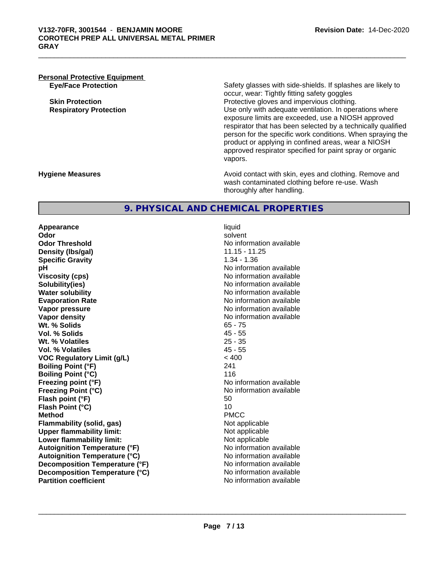# **Personal Protective Equipment**

**Eye/Face Protection** Safety glasses with side-shields. If splashes are likely to occur, wear: Tightly fitting safety goggles **Skin Protection Protection Protective gloves and impervious clothing. Respiratory Protection Exercise 2016** Use only with adequate ventilation. In operations where exposure limits are exceeded, use a NIOSH approved respirator that has been selected by a technically qualified person for the specific work conditions. When spraying the product or applying in confined areas, wear a NIOSH approved respirator specified for paint spray or organic vapors.

**Hygiene Measures Avoid contact with skin, eyes and clothing. Remove and Avoid contact with skin, eyes and clothing. Remove and Avoid contact with skin, eyes and clothing. Remove and** wash contaminated clothing before re-use. Wash thoroughly after handling.

## **9. PHYSICAL AND CHEMICAL PROPERTIES**

**Appearance** liquid **Odor** solvent **Odor Threshold**<br> **Density (Ibs/gal)**<br> **Density (Ibs/gal)**<br> **No information available**<br>
11.15 - 11.25 **Density (Ibs/gal) Specific Gravity** 1.34 - 1.36 **pH**<br>
Viscosity (cps) The Contract of Contract Contract Contract Contract Contract Contract No information available **Solubility(ies)** No information available **Water solubility** No information available **Evaporation Rate Evaporation Rate No information available Vapor pressure Vapor pressure No information available Vapor density No information available No** information available **Wt. % Solids** 65 - 75 **Vol. % Solids Wt. % Volatiles** 25 - 35 **Vol. % Volatiles** 45 - 55 **VOC Regulatory Limit (g/L)** < 400 **Boiling Point (°F)** 241 **Boiling Point (°C)** 116 **Freezing point (°F)** The state of the state of the No information available **Freezing Point (°C)** and **COVERTY** No information available **Flash point (°F)** 50 **Flash Point (°C)** 10 **Method** PMCC **Flammability (solid, gas)** Not applicable Not applicable<br>
Upper flammability limit:<br>
Upper flammability limit: **Upper flammability limit: Lower flammability limit:** Not applicable **Autoignition Temperature (°F)** No information available **Autoignition Temperature (°C)** No information available **Decomposition Temperature (°F)** No information available **Decomposition Temperature (°C)**<br> **Partition coefficient**<br> **Partition coefficient**<br> **No** information available

**Viscosity (cps)** No information available **No information available**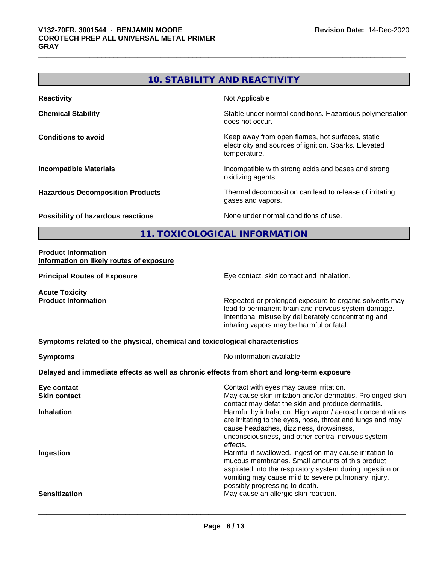|                                                                              | <b>10. STABILITY AND REACTIVITY</b>                                                                                                                                                                              |
|------------------------------------------------------------------------------|------------------------------------------------------------------------------------------------------------------------------------------------------------------------------------------------------------------|
| <b>Reactivity</b>                                                            | Not Applicable                                                                                                                                                                                                   |
| <b>Chemical Stability</b>                                                    | Stable under normal conditions. Hazardous polymerisation<br>does not occur.                                                                                                                                      |
| <b>Conditions to avoid</b>                                                   | Keep away from open flames, hot surfaces, static<br>electricity and sources of ignition. Sparks. Elevated<br>temperature.                                                                                        |
| <b>Incompatible Materials</b>                                                | Incompatible with strong acids and bases and strong<br>oxidizing agents.                                                                                                                                         |
| <b>Hazardous Decomposition Products</b>                                      | Thermal decomposition can lead to release of irritating<br>gases and vapors.                                                                                                                                     |
| <b>Possibility of hazardous reactions</b>                                    | None under normal conditions of use.                                                                                                                                                                             |
|                                                                              | 11. TOXICOLOGICAL INFORMATION                                                                                                                                                                                    |
| <b>Product Information</b><br>Information on likely routes of exposure       |                                                                                                                                                                                                                  |
| <b>Principal Routes of Exposure</b>                                          | Eye contact, skin contact and inhalation.                                                                                                                                                                        |
| <b>Acute Toxicity</b><br><b>Product Information</b>                          | Repeated or prolonged exposure to organic solvents may<br>lead to permanent brain and nervous system damage.<br>Intentional misuse by deliberately concentrating and<br>inhaling vapors may be harmful or fatal. |
| Symptoms related to the physical, chemical and toxicological characteristics |                                                                                                                                                                                                                  |
| <b>Symptoms</b>                                                              | No information available                                                                                                                                                                                         |
|                                                                              | Delayed and immediate effects as well as chronic effects from short and long-term exposure                                                                                                                       |
| Eye contact<br><b>Skin contact</b>                                           | Contact with eyes may cause irritation.<br>May cause skin irritation and/or dermatitis. Prolonged skin<br>contact may defat the skin and produce dermatitis.                                                     |
| <b>Inhalation</b>                                                            | Harmful by inhalation. High vapor / aerosol concentrations<br>are irritating to the eyes, nose, throat and lungs and may                                                                                         |

**Ingestion Ingestion Ingestion Example 2 Harmful if swallowed. Ingestion may cause irritation to** 

**Sensitization Sensitization** May cause an allergic skin reaction.

effects.

cause headaches, dizziness, drowsiness,

possibly progressing to death.

 $\overline{\phantom{a}}$  ,  $\overline{\phantom{a}}$  ,  $\overline{\phantom{a}}$  ,  $\overline{\phantom{a}}$  ,  $\overline{\phantom{a}}$  ,  $\overline{\phantom{a}}$  ,  $\overline{\phantom{a}}$  ,  $\overline{\phantom{a}}$  ,  $\overline{\phantom{a}}$  ,  $\overline{\phantom{a}}$  ,  $\overline{\phantom{a}}$  ,  $\overline{\phantom{a}}$  ,  $\overline{\phantom{a}}$  ,  $\overline{\phantom{a}}$  ,  $\overline{\phantom{a}}$  ,  $\overline{\phantom{a}}$ 

unconsciousness, and other central nervous system

mucous membranes. Small amounts of this product aspirated into the respiratory system during ingestion or vomiting may cause mild to severe pulmonary injury,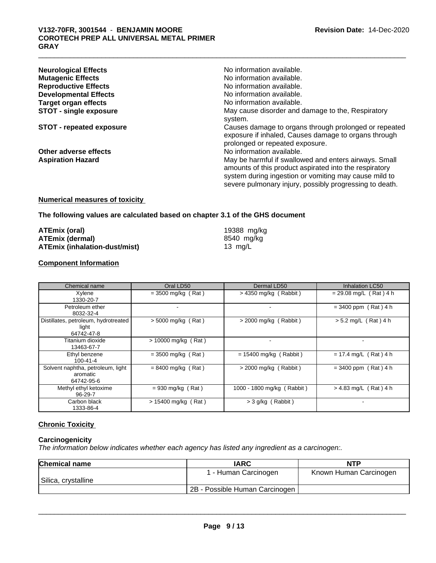| <b>Neurological Effects</b>     | No information available.                                                                                        |
|---------------------------------|------------------------------------------------------------------------------------------------------------------|
| <b>Mutagenic Effects</b>        | No information available.                                                                                        |
| <b>Reproductive Effects</b>     | No information available.                                                                                        |
| <b>Developmental Effects</b>    | No information available.                                                                                        |
| <b>Target organ effects</b>     | No information available.                                                                                        |
| <b>STOT - single exposure</b>   | May cause disorder and damage to the, Respiratory                                                                |
|                                 | system.                                                                                                          |
| <b>STOT - repeated exposure</b> | Causes damage to organs through prolonged or repeated<br>exposure if inhaled, Causes damage to organs through    |
|                                 | prolonged or repeated exposure.                                                                                  |
| Other adverse effects           | No information available.                                                                                        |
| <b>Aspiration Hazard</b>        | May be harmful if swallowed and enters airways. Small<br>amounts of this product aspirated into the respiratory  |
|                                 | system during ingestion or vomiting may cause mild to<br>severe pulmonary injury, possibly progressing to death. |

## **Numerical measures of toxicity**

### **The following values are calculated based on chapter 3.1 of the GHS document**

| ATEmix (oral)                 | 19388 mg/kg |
|-------------------------------|-------------|
| ATEmix (dermal)               | 8540 mg/ka  |
| ATEmix (inhalation-dust/mist) | 13 $mq/L$   |

## **Component Information**

| Chemical name                                               | Oral LD50             | Dermal LD50                | <b>Inhalation LC50</b>   |
|-------------------------------------------------------------|-----------------------|----------------------------|--------------------------|
| Xylene<br>1330-20-7                                         | $= 3500$ mg/kg (Rat)  | $>$ 4350 mg/kg (Rabbit)    | $= 29.08$ mg/L (Rat) 4 h |
| Petroleum ether<br>8032-32-4                                |                       |                            | $= 3400$ ppm (Rat) 4 h   |
| Distillates, petroleum, hydrotreated<br>light<br>64742-47-8 | $>$ 5000 mg/kg (Rat)  | $>$ 2000 mg/kg (Rabbit)    | $> 5.2$ mg/L (Rat) 4 h   |
| Titanium dioxide<br>13463-67-7                              | > 10000 mg/kg (Rat)   |                            | ۰.                       |
| Ethyl benzene<br>$100 - 41 - 4$                             | $= 3500$ mg/kg (Rat)  | $= 15400$ mg/kg (Rabbit)   | $= 17.4$ mg/L (Rat) 4 h  |
| Solvent naphtha, petroleum, light<br>aromatic<br>64742-95-6 | $= 8400$ mg/kg (Rat)  | $>$ 2000 mg/kg (Rabbit)    | $= 3400$ ppm (Rat) 4 h   |
| Methyl ethyl ketoxime<br>96-29-7                            | $= 930$ mg/kg (Rat)   | 1000 - 1800 mg/kg (Rabbit) | $> 4.83$ mg/L (Rat) 4 h  |
| Carbon black<br>1333-86-4                                   | $> 15400$ mg/kg (Rat) | $>$ 3 g/kg (Rabbit)        |                          |

## **Chronic Toxicity**

## **Carcinogenicity**

*The information below indicateswhether each agency has listed any ingredient as a carcinogen:.*

| <b>Chemical name</b> | <b>IARC</b>                    | <b>NTP</b>             |
|----------------------|--------------------------------|------------------------|
|                      | 1 - Human Carcinogen           | Known Human Carcinogen |
| Silica, crystalline  |                                |                        |
|                      | 2B - Possible Human Carcinogen |                        |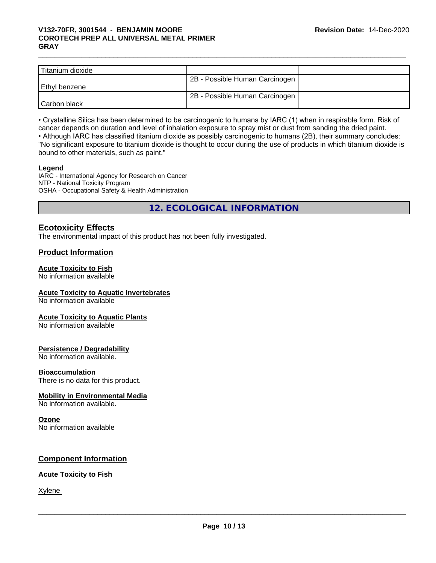## \_\_\_\_\_\_\_\_\_\_\_\_\_\_\_\_\_\_\_\_\_\_\_\_\_\_\_\_\_\_\_\_\_\_\_\_\_\_\_\_\_\_\_\_\_\_\_\_\_\_\_\_\_\_\_\_\_\_\_\_\_\_\_\_\_\_\_\_\_\_\_\_\_\_\_\_\_\_\_\_\_\_\_\_\_\_\_\_\_\_\_\_\_ **V132-70FR, 3001544** - **BENJAMIN MOORE COROTECH PREP ALL UNIVERSAL METAL PRIMER GRAY**

| Titanium dioxide |                                |  |
|------------------|--------------------------------|--|
|                  | 2B - Possible Human Carcinogen |  |
| l Ethvl benzene  |                                |  |
|                  | 2B - Possible Human Carcinogen |  |
| Carbon black     |                                |  |

• Crystalline Silica has been determined to be carcinogenic to humans by IARC (1) when in respirable form. Risk of cancer depends on duration and level of inhalation exposure to spray mist or dust from sanding the dried paint.

• Although IARC has classified titanium dioxide as possibly carcinogenic to humans (2B), their summary concludes: "No significant exposure to titanium dioxide is thought to occur during the use of products in which titanium dioxide is bound to other materials, such as paint."

## **Legend**

IARC - International Agency for Research on Cancer NTP - National Toxicity Program OSHA - Occupational Safety & Health Administration

**12. ECOLOGICAL INFORMATION**

## **Ecotoxicity Effects**

The environmental impact of this product has not been fully investigated.

## **Product Information**

## **Acute Toxicity to Fish**

No information available

## **Acute Toxicity to Aquatic Invertebrates**

No information available

## **Acute Toxicity to Aquatic Plants**

No information available

## **Persistence / Degradability**

No information available.

## **Bioaccumulation**

There is no data for this product.

## **Mobility in Environmental Media**

No information available.

## **Ozone**

No information available

## **Component Information**

## **Acute Toxicity to Fish**

Xylene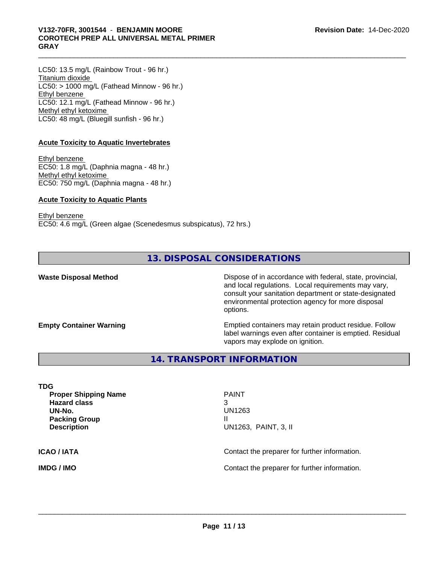## \_\_\_\_\_\_\_\_\_\_\_\_\_\_\_\_\_\_\_\_\_\_\_\_\_\_\_\_\_\_\_\_\_\_\_\_\_\_\_\_\_\_\_\_\_\_\_\_\_\_\_\_\_\_\_\_\_\_\_\_\_\_\_\_\_\_\_\_\_\_\_\_\_\_\_\_\_\_\_\_\_\_\_\_\_\_\_\_\_\_\_\_\_ **V132-70FR, 3001544** - **BENJAMIN MOORE COROTECH PREP ALL UNIVERSAL METAL PRIMER GRAY**

LC50: 13.5 mg/L (Rainbow Trout - 96 hr.) Titanium dioxide  $LC50:$  > 1000 mg/L (Fathead Minnow - 96 hr.) Ethyl benzene LC50: 12.1 mg/L (Fathead Minnow - 96 hr.) Methyl ethyl ketoxime LC50: 48 mg/L (Bluegill sunfish - 96 hr.)

## **Acute Toxicity to Aquatic Invertebrates**

Ethyl benzene EC50: 1.8 mg/L (Daphnia magna - 48 hr.) Methyl ethyl ketoxime EC50: 750 mg/L (Daphnia magna - 48 hr.)

## **Acute Toxicity to Aquatic Plants**

Ethyl benzene EC50: 4.6 mg/L (Green algae (Scenedesmus subspicatus), 72 hrs.)

## **13. DISPOSAL CONSIDERATIONS**

**Waste Disposal Method Dispose of in accordance with federal, state, provincial,** and local regulations. Local requirements may vary, consult your sanitation department or state-designated environmental protection agency for more disposal options.

**Empty Container Warning <b>Emptied** Containers may retain product residue. Follow label warnings even after container is emptied. Residual vapors may explode on ignition.

## **14. TRANSPORT INFORMATION**

**TDG Proper Shipping Name** PAINT **Hazard class** 3 **UN-No.** UN1263 **Packing Group III Description** UN1263, PAINT, 3, II **ICAO / IATA** Contact the preparer for further information. **IMDG / IMO Contact the preparer for further information.**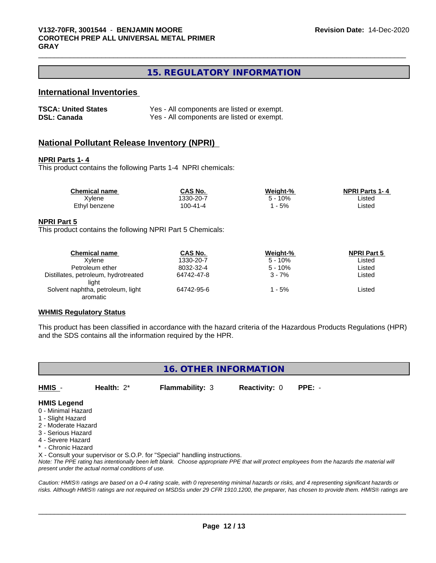## **15. REGULATORY INFORMATION**

## **International Inventories**

| <b>TSCA: United States</b> | Yes - All components are listed or exempt. |
|----------------------------|--------------------------------------------|
| <b>DSL: Canada</b>         | Yes - All components are listed or exempt. |

## **National Pollutant Release Inventory (NPRI)**

### **NPRI Parts 1- 4**

This product contains the following Parts 1-4 NPRI chemicals:

| <b>Chemical name</b> | CAS No.  | Weight-%   | <b>NPRI Parts 1-4</b> |  |
|----------------------|----------|------------|-----------------------|--|
| Xvlene               | 330-20-7 | 10%<br>∽ - | ∟isted                |  |
| Ethyl benzene        | 100-41-4 | $-5%$      | Listed                |  |

#### **NPRI Part 5**

This product contains the following NPRI Part 5 Chemicals:

| <b>Chemical name</b>                 | <b>CAS No.</b> | Weight-%  | <b>NPRI Part 5</b> |  |
|--------------------------------------|----------------|-----------|--------------------|--|
| Xvlene                               | 1330-20-7      | $5 - 10%$ | Listed             |  |
| Petroleum ether                      | 8032-32-4      | $5 - 10%$ | Listed             |  |
| Distillates, petroleum, hydrotreated | 64742-47-8     | $3 - 7%$  | Listed             |  |
| liaht                                |                |           |                    |  |
| Solvent naphtha, petroleum, light    | 64742-95-6     | l - 5%    | ∟isted             |  |
| aromatic                             |                |           |                    |  |

#### **WHMIS Regulatory Status**

This product has been classified in accordance with the hazard criteria of the Hazardous Products Regulations (HPR) and the SDS contains all the information required by the HPR.

| 16. OTHER INFORMATION |
|-----------------------|
|-----------------------|

**HMIS** - **Health:** 2\* **Flammability:** 3 **Reactivity:** 0 **PPE:** -

## **HMIS Legend**

- 0 Minimal Hazard
- 1 Slight Hazard
- 2 Moderate Hazard
- 3 Serious Hazard
- 4 Severe Hazard
- \* Chronic Hazard

X - Consult your supervisor or S.O.P. for "Special" handling instructions.

*Note: The PPE rating has intentionally been left blank. Choose appropriate PPE that will protect employees from the hazards the material will present under the actual normal conditions of use.*

*Caution: HMISÒ ratings are based on a 0-4 rating scale, with 0 representing minimal hazards or risks, and 4 representing significant hazards or risks. Although HMISÒ ratings are not required on MSDSs under 29 CFR 1910.1200, the preparer, has chosen to provide them. HMISÒ ratings are*